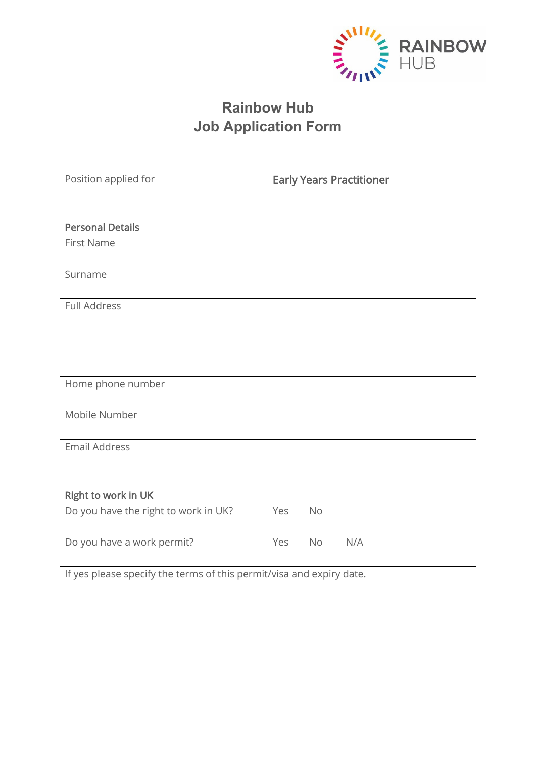

# **Rainbow Hub Job Application Form**

| Position applied for | <b>Early Years Practitioner</b> |
|----------------------|---------------------------------|
|                      |                                 |

## Personal Details

| First Name        |  |
|-------------------|--|
| Surname           |  |
| Full Address      |  |
| Home phone number |  |
| Mobile Number     |  |
| Email Address     |  |

# Right to work in UK

| Do you have the right to work in UK?                                 | Yes | No. |     |
|----------------------------------------------------------------------|-----|-----|-----|
| Do you have a work permit?                                           | Yes | No. | N/A |
| If yes please specify the terms of this permit/visa and expiry date. |     |     |     |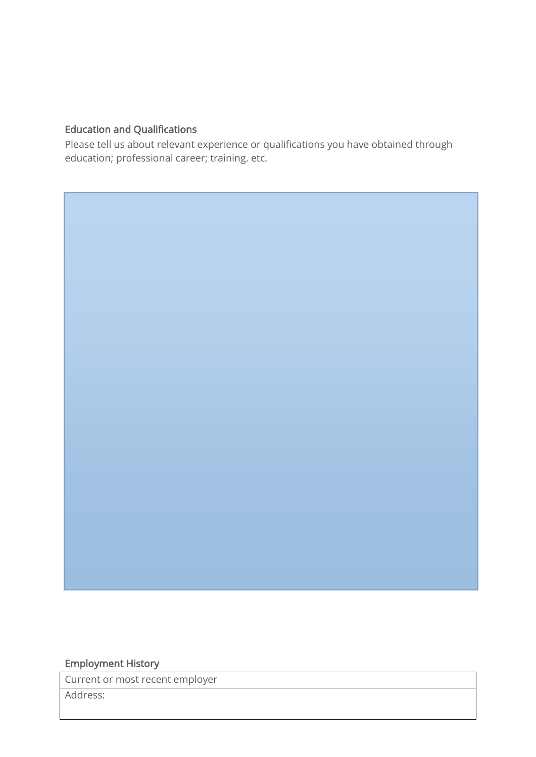# Education and Qualifications

Please tell us about relevant experience or qualifications you have obtained through education; professional career; training. etc.

#### Employment History

 $\overline{\phantom{a}}$ 

| Current or most recent employer |  |
|---------------------------------|--|
| Address:                        |  |
|                                 |  |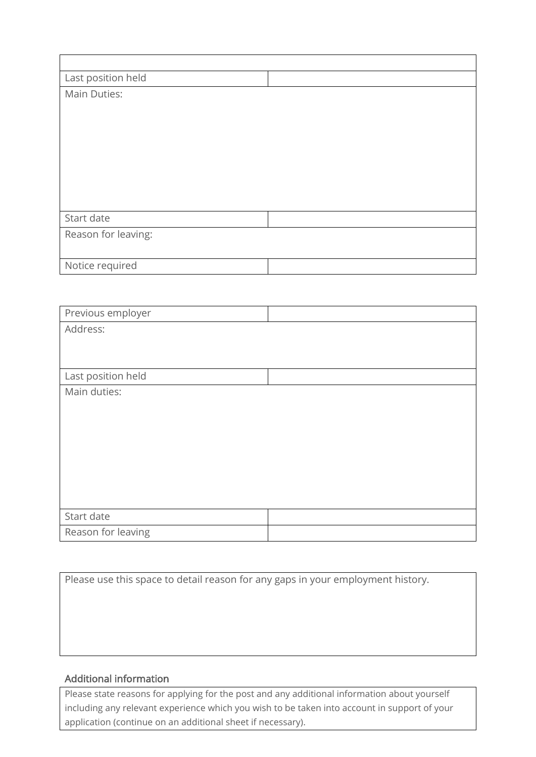| Last position held  |  |
|---------------------|--|
| Main Duties:        |  |
|                     |  |
|                     |  |
|                     |  |
|                     |  |
|                     |  |
|                     |  |
|                     |  |
| Start date          |  |
| Reason for leaving: |  |
|                     |  |
| Notice required     |  |

| Previous employer  |  |
|--------------------|--|
| Address:           |  |
|                    |  |
|                    |  |
| Last position held |  |
| Main duties:       |  |
|                    |  |
|                    |  |
|                    |  |
|                    |  |
|                    |  |
|                    |  |
|                    |  |
| Start date         |  |
| Reason for leaving |  |

Please use this space to detail reason for any gaps in your employment history.

### Additional information

Please state reasons for applying for the post and any additional information about yourself including any relevant experience which you wish to be taken into account in support of your application (continue on an additional sheet if necessary).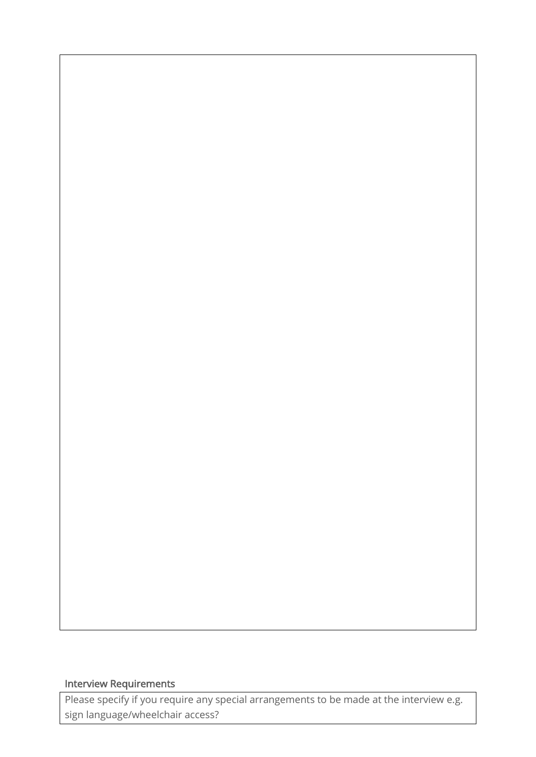## Interview Requirements

Please specify if you require any special arrangements to be made at the interview e.g. sign language/wheelchair access?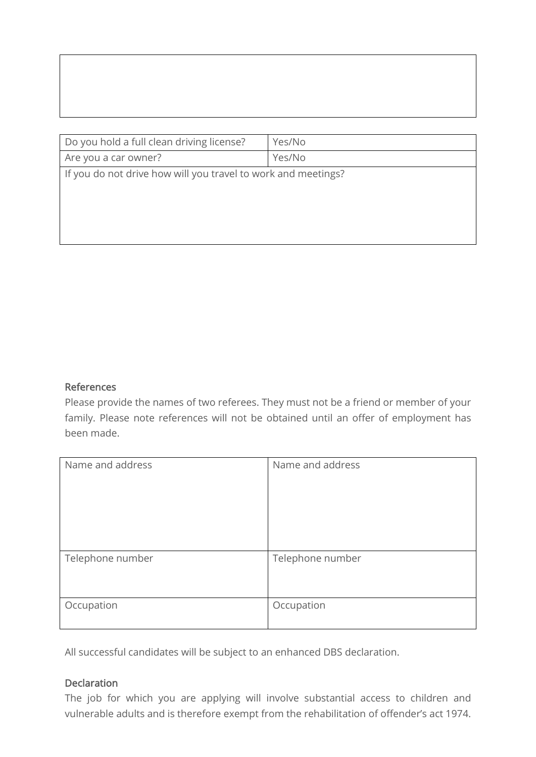| Do you hold a full clean driving license?                     | Yes/No |
|---------------------------------------------------------------|--------|
| Are you a car owner?                                          | Yes/No |
| If you do not drive how will you travel to work and meetings? |        |

#### References

Please provide the names of two referees. They must not be a friend or member of your family. Please note references will not be obtained until an offer of employment has been made.

| Name and address | Name and address |
|------------------|------------------|
| Telephone number | Telephone number |
| Occupation       | Occupation       |

All successful candidates will be subject to an enhanced DBS declaration.

#### **Declaration**

The job for which you are applying will involve substantial access to children and vulnerable adults and is therefore exempt from the rehabilitation of offender's act 1974.